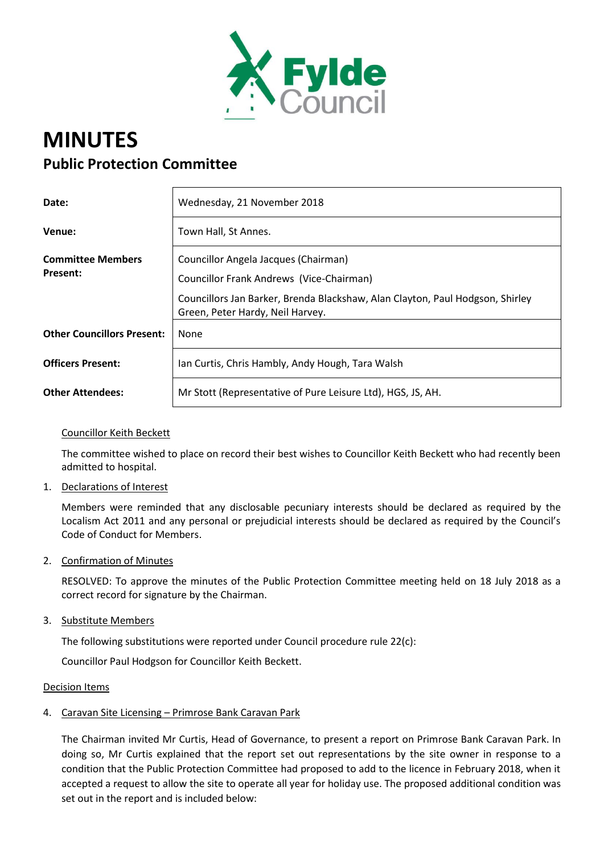

# **MINUTES Public Protection Committee**

| Date:                             | Wednesday, 21 November 2018                                                                                       |
|-----------------------------------|-------------------------------------------------------------------------------------------------------------------|
| Venue:                            | Town Hall, St Annes.                                                                                              |
| <b>Committee Members</b>          | Councillor Angela Jacques (Chairman)                                                                              |
| Present:                          | Councillor Frank Andrews (Vice-Chairman)                                                                          |
|                                   | Councillors Jan Barker, Brenda Blackshaw, Alan Clayton, Paul Hodgson, Shirley<br>Green, Peter Hardy, Neil Harvey. |
| <b>Other Councillors Present:</b> | None                                                                                                              |
| <b>Officers Present:</b>          | Ian Curtis, Chris Hambly, Andy Hough, Tara Walsh                                                                  |
| <b>Other Attendees:</b>           | Mr Stott (Representative of Pure Leisure Ltd), HGS, JS, AH.                                                       |

## Councillor Keith Beckett

The committee wished to place on record their best wishes to Councillor Keith Beckett who had recently been admitted to hospital.

1. Declarations of Interest

Members were reminded that any disclosable pecuniary interests should be declared as required by the Localism Act 2011 and any personal or prejudicial interests should be declared as required by the Council's Code of Conduct for Members.

2. Confirmation of Minutes

RESOLVED: To approve the minutes of the Public Protection Committee meeting held on 18 July 2018 as a correct record for signature by the Chairman.

3. Substitute Members

The following substitutions were reported under Council procedure rule 22(c):

Councillor Paul Hodgson for Councillor Keith Beckett.

#### Decision Items

4. Caravan Site Licensing – Primrose Bank Caravan Park

The Chairman invited Mr Curtis, Head of Governance, to present a report on Primrose Bank Caravan Park. In doing so, Mr Curtis explained that the report set out representations by the site owner in response to a condition that the Public Protection Committee had proposed to add to the licence in February 2018, when it accepted a request to allow the site to operate all year for holiday use. The proposed additional condition was set out in the report and is included below: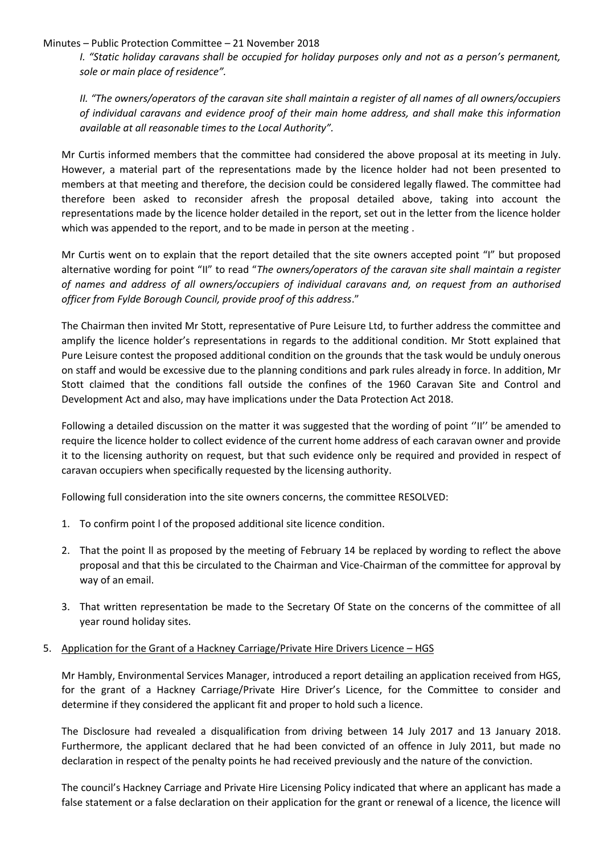#### Minutes – Public Protection Committee – 21 November 2018

*I. "Static holiday caravans shall be occupied for holiday purposes only and not as a person's permanent, sole or main place of residence".*

*II. "The owners/operators of the caravan site shall maintain a register of all names of all owners/occupiers of individual caravans and evidence proof of their main home address, and shall make this information available at all reasonable times to the Local Authority".*

Mr Curtis informed members that the committee had considered the above proposal at its meeting in July. However, a material part of the representations made by the licence holder had not been presented to members at that meeting and therefore, the decision could be considered legally flawed. The committee had therefore been asked to reconsider afresh the proposal detailed above, taking into account the representations made by the licence holder detailed in the report, set out in the letter from the licence holder which was appended to the report, and to be made in person at the meeting .

Mr Curtis went on to explain that the report detailed that the site owners accepted point "I" but proposed alternative wording for point "II" to read "*The owners/operators of the caravan site shall maintain a register of names and address of all owners/occupiers of individual caravans and, on request from an authorised officer from Fylde Borough Council, provide proof of this address*."

The Chairman then invited Mr Stott, representative of Pure Leisure Ltd, to further address the committee and amplify the licence holder's representations in regards to the additional condition. Mr Stott explained that Pure Leisure contest the proposed additional condition on the grounds that the task would be unduly onerous on staff and would be excessive due to the planning conditions and park rules already in force. In addition, Mr Stott claimed that the conditions fall outside the confines of the 1960 Caravan Site and Control and Development Act and also, may have implications under the Data Protection Act 2018.

Following a detailed discussion on the matter it was suggested that the wording of point ''II'' be amended to require the licence holder to collect evidence of the current home address of each caravan owner and provide it to the licensing authority on request, but that such evidence only be required and provided in respect of caravan occupiers when specifically requested by the licensing authority.

Following full consideration into the site owners concerns, the committee RESOLVED:

- 1. To confirm point l of the proposed additional site licence condition.
- 2. That the point ll as proposed by the meeting of February 14 be replaced by wording to reflect the above proposal and that this be circulated to the Chairman and Vice-Chairman of the committee for approval by way of an email.
- 3. That written representation be made to the Secretary Of State on the concerns of the committee of all year round holiday sites.

## 5. Application for the Grant of a Hackney Carriage/Private Hire Drivers Licence – HGS

Mr Hambly, Environmental Services Manager, introduced a report detailing an application received from HGS, for the grant of a Hackney Carriage/Private Hire Driver's Licence, for the Committee to consider and determine if they considered the applicant fit and proper to hold such a licence.

The Disclosure had revealed a disqualification from driving between 14 July 2017 and 13 January 2018. Furthermore, the applicant declared that he had been convicted of an offence in July 2011, but made no declaration in respect of the penalty points he had received previously and the nature of the conviction.

The council's Hackney Carriage and Private Hire Licensing Policy indicated that where an applicant has made a false statement or a false declaration on their application for the grant or renewal of a licence, the licence will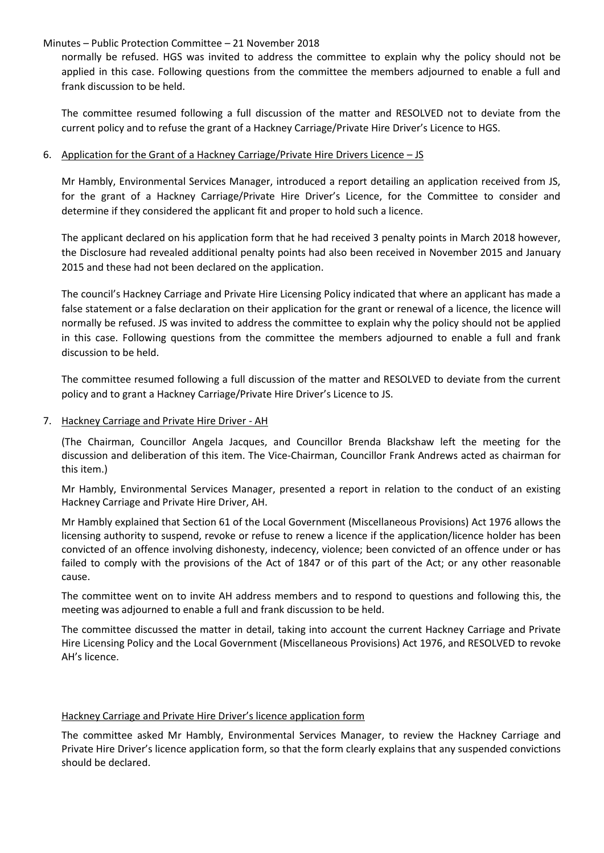#### Minutes – Public Protection Committee – 21 November 2018

normally be refused. HGS was invited to address the committee to explain why the policy should not be applied in this case. Following questions from the committee the members adjourned to enable a full and frank discussion to be held.

The committee resumed following a full discussion of the matter and RESOLVED not to deviate from the current policy and to refuse the grant of a Hackney Carriage/Private Hire Driver's Licence to HGS.

### 6. Application for the Grant of a Hackney Carriage/Private Hire Drivers Licence – JS

Mr Hambly, Environmental Services Manager, introduced a report detailing an application received from JS, for the grant of a Hackney Carriage/Private Hire Driver's Licence, for the Committee to consider and determine if they considered the applicant fit and proper to hold such a licence.

The applicant declared on his application form that he had received 3 penalty points in March 2018 however, the Disclosure had revealed additional penalty points had also been received in November 2015 and January 2015 and these had not been declared on the application.

The council's Hackney Carriage and Private Hire Licensing Policy indicated that where an applicant has made a false statement or a false declaration on their application for the grant or renewal of a licence, the licence will normally be refused. JS was invited to address the committee to explain why the policy should not be applied in this case. Following questions from the committee the members adjourned to enable a full and frank discussion to be held.

The committee resumed following a full discussion of the matter and RESOLVED to deviate from the current policy and to grant a Hackney Carriage/Private Hire Driver's Licence to JS.

#### 7. Hackney Carriage and Private Hire Driver - AH

(The Chairman, Councillor Angela Jacques, and Councillor Brenda Blackshaw left the meeting for the discussion and deliberation of this item. The Vice-Chairman, Councillor Frank Andrews acted as chairman for this item.)

Mr Hambly, Environmental Services Manager, presented a report in relation to the conduct of an existing Hackney Carriage and Private Hire Driver, AH.

Mr Hambly explained that Section 61 of the Local Government (Miscellaneous Provisions) Act 1976 allows the licensing authority to suspend, revoke or refuse to renew a licence if the application/licence holder has been convicted of an offence involving dishonesty, indecency, violence; been convicted of an offence under or has failed to comply with the provisions of the Act of 1847 or of this part of the Act; or any other reasonable cause.

The committee went on to invite AH address members and to respond to questions and following this, the meeting was adjourned to enable a full and frank discussion to be held.

The committee discussed the matter in detail, taking into account the current Hackney Carriage and Private Hire Licensing Policy and the Local Government (Miscellaneous Provisions) Act 1976, and RESOLVED to revoke AH's licence.

#### Hackney Carriage and Private Hire Driver's licence application form

The committee asked Mr Hambly, Environmental Services Manager, to review the Hackney Carriage and Private Hire Driver's licence application form, so that the form clearly explains that any suspended convictions should be declared.